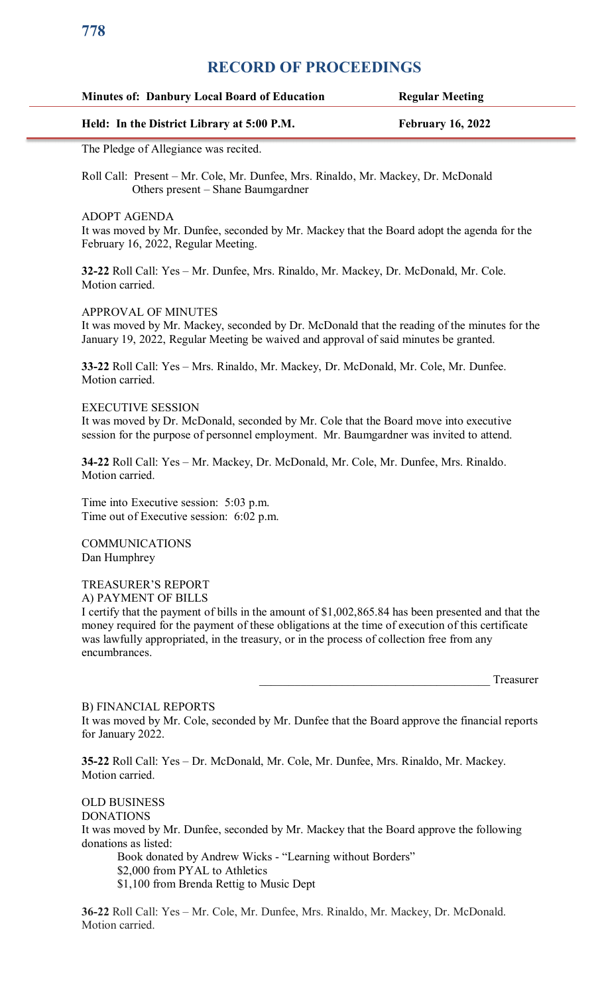## **RECORD OF PROCEEDINGS**

| <b>Minutes of: Danbury Local Board of Education</b> | <b>Regular Meeting</b>   |
|-----------------------------------------------------|--------------------------|
| Held: In the District Library at 5:00 P.M.          | <b>February 16, 2022</b> |

The Pledge of Allegiance was recited.

Roll Call: Present – Mr. Cole, Mr. Dunfee, Mrs. Rinaldo, Mr. Mackey, Dr. McDonald Others present – Shane Baumgardner

ADOPT AGENDA

It was moved by Mr. Dunfee, seconded by Mr. Mackey that the Board adopt the agenda for the February 16, 2022, Regular Meeting.

**32-22** Roll Call: Yes – Mr. Dunfee, Mrs. Rinaldo, Mr. Mackey, Dr. McDonald, Mr. Cole. Motion carried.

APPROVAL OF MINUTES

It was moved by Mr. Mackey, seconded by Dr. McDonald that the reading of the minutes for the January 19, 2022, Regular Meeting be waived and approval of said minutes be granted.

**33-22** Roll Call: Yes – Mrs. Rinaldo, Mr. Mackey, Dr. McDonald, Mr. Cole, Mr. Dunfee. Motion carried.

#### EXECUTIVE SESSION

It was moved by Dr. McDonald, seconded by Mr. Cole that the Board move into executive session for the purpose of personnel employment. Mr. Baumgardner was invited to attend.

**34-22** Roll Call: Yes – Mr. Mackey, Dr. McDonald, Mr. Cole, Mr. Dunfee, Mrs. Rinaldo. Motion carried.

Time into Executive session: 5:03 p.m. Time out of Executive session: 6:02 p.m.

COMMUNICATIONS Dan Humphrey

TREASURER'S REPORT A) PAYMENT OF BILLS

I certify that the payment of bills in the amount of \$1,002,865.84 has been presented and that the money required for the payment of these obligations at the time of execution of this certificate was lawfully appropriated, in the treasury, or in the process of collection free from any encumbrances.

Treasurer

## B) FINANCIAL REPORTS It was moved by Mr. Cole, seconded by Mr. Dunfee that the Board approve the financial reports for January 2022.

**35-22** Roll Call: Yes – Dr. McDonald, Mr. Cole, Mr. Dunfee, Mrs. Rinaldo, Mr. Mackey. Motion carried.

OLD BUSINESS DONATIONS It was moved by Mr. Dunfee, seconded by Mr. Mackey that the Board approve the following donations as listed: Book donated by Andrew Wicks - "Learning without Borders" \$2,000 from PYAL to Athletics \$1,100 from Brenda Rettig to Music Dept

**36-22** Roll Call: Yes – Mr. Cole, Mr. Dunfee, Mrs. Rinaldo, Mr. Mackey, Dr. McDonald. Motion carried.